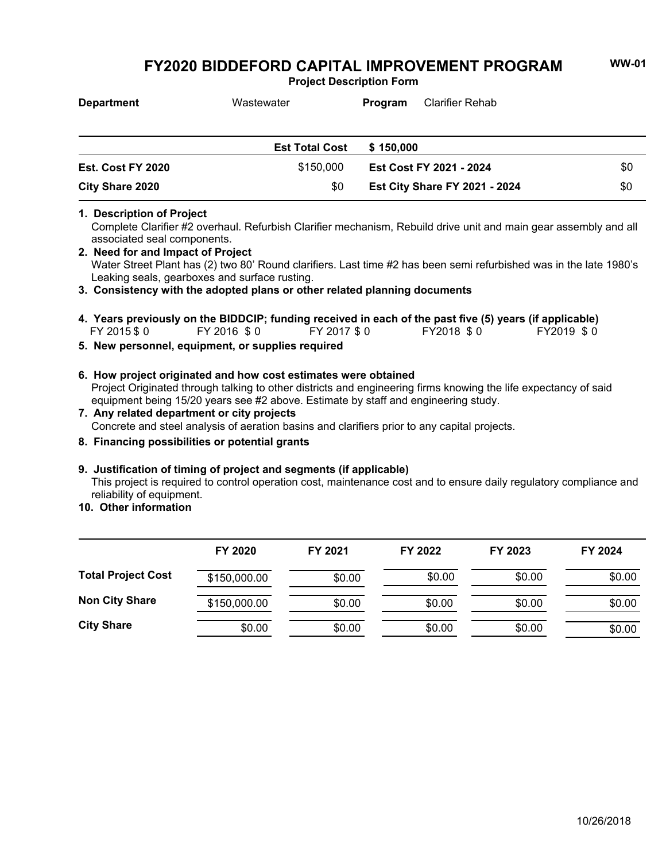**Project Description Form**

| <b>Department</b>      | Wastewater            | Program                 | Clarifier Rehab                      |     |
|------------------------|-----------------------|-------------------------|--------------------------------------|-----|
|                        | <b>Est Total Cost</b> | \$150,000               |                                      |     |
| Est. Cost FY 2020      | \$150.000             | Est Cost FY 2021 - 2024 |                                      | \$0 |
| <b>City Share 2020</b> | \$0                   |                         | <b>Est City Share FY 2021 - 2024</b> | \$0 |

#### **1. Description of Project**

Complete Clarifier #2 overhaul. Refurbish Clarifier mechanism, Rebuild drive unit and main gear assembly and all associated seal components.

Water Street Plant has (2) two 80' Round clarifiers. Last time #2 has been semi refurbished was in the late 1980's Leaking seals, gearboxes and surface rusting. **2. Need for and Impact of Project**

**3. Consistency with the adopted plans or other related planning documents**

- FY 2015 \$ 0 FY 2016 \$ 0 FY 2017 \$ 0 FY2018 \$ 0 FY2019 \$ 0 **4. Years previously on the BIDDCIP; funding received in each of the past five (5) years (if applicable)**
- **5. New personnel, equipment, or supplies required**
- Project Originated through talking to other districts and engineering firms knowing the life expectancy of said equipment being 15/20 years see #2 above. Estimate by staff and engineering study. **6. How project originated and how cost estimates were obtained**
- Concrete and steel analysis of aeration basins and clarifiers prior to any capital projects. **7. Any related department or city projects**
- **8. Financing possibilities or potential grants**

### **9. Justification of timing of project and segments (if applicable)**

This project is required to control operation cost, maintenance cost and to ensure daily regulatory compliance and reliability of equipment.

**10. Other information**

|                           | FY 2020      | FY 2021 | FY 2022 | FY 2023 | FY 2024 |
|---------------------------|--------------|---------|---------|---------|---------|
| <b>Total Project Cost</b> | \$150,000.00 | \$0.00  | \$0.00  | \$0.00  | \$0.00  |
| <b>Non City Share</b>     | \$150,000.00 | \$0.00  | \$0.00  | \$0.00  | \$0.00  |
| <b>City Share</b>         | \$0.00       | \$0.00  | \$0.00  | \$0.00  | \$0.00  |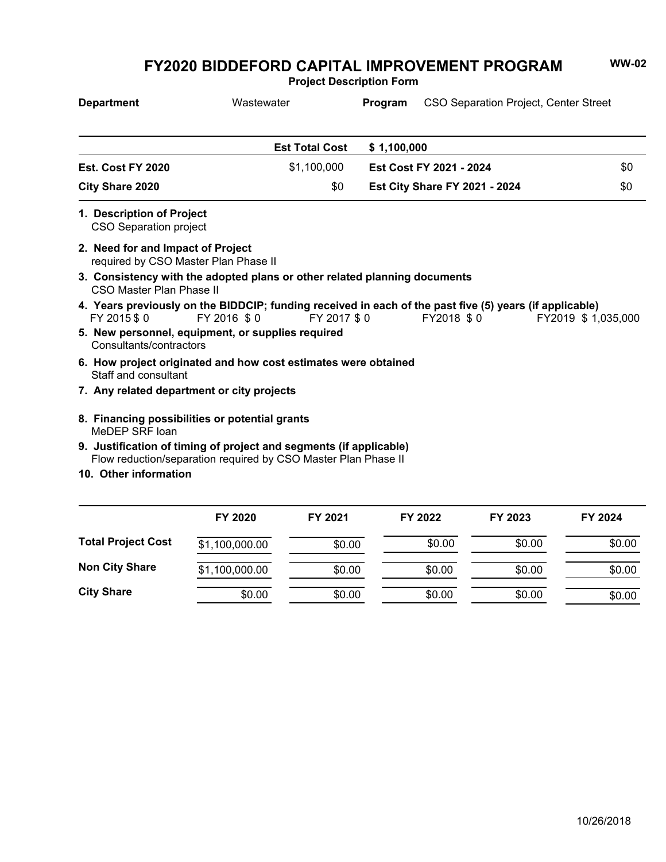**Project Description Form**

| <b>Department</b>                                                         | Wastewater                                                                                                                             | Program     | <b>CSO Separation Project, Center Street</b> |                     |
|---------------------------------------------------------------------------|----------------------------------------------------------------------------------------------------------------------------------------|-------------|----------------------------------------------|---------------------|
|                                                                           | <b>Est Total Cost</b>                                                                                                                  | \$1,100,000 |                                              |                     |
| Est. Cost FY 2020                                                         | \$1,100,000                                                                                                                            |             | Est Cost FY 2021 - 2024                      | \$0                 |
| <b>City Share 2020</b>                                                    | \$0                                                                                                                                    |             | <b>Est City Share FY 2021 - 2024</b>         | \$0                 |
| 1. Description of Project<br><b>CSO Separation project</b>                |                                                                                                                                        |             |                                              |                     |
| 2. Need for and Impact of Project<br>required by CSO Master Plan Phase II |                                                                                                                                        |             |                                              |                     |
| CSO Master Plan Phase II                                                  | 3. Consistency with the adopted plans or other related planning documents                                                              |             |                                              |                     |
| FY 2015 \$0                                                               | 4. Years previously on the BIDDCIP; funding received in each of the past five (5) years (if applicable)<br>FY 2016 \$0<br>FY 2017 \$ 0 |             | FY2018 \$0                                   | FY2019 \$ 1,035,000 |
| Consultants/contractors                                                   | 5. New personnel, equipment, or supplies required                                                                                      |             |                                              |                     |
| Staff and consultant                                                      | 6. How project originated and how cost estimates were obtained                                                                         |             |                                              |                     |
| 7. Any related department or city projects                                |                                                                                                                                        |             |                                              |                     |
| MeDEP SRF loan                                                            | 8. Financing possibilities or potential grants                                                                                         |             |                                              |                     |
|                                                                           | 9. Justification of timing of project and segments (if applicable)                                                                     |             |                                              |                     |
| 10. Other information                                                     | Flow reduction/separation required by CSO Master Plan Phase II                                                                         |             |                                              |                     |
|                                                                           |                                                                                                                                        |             |                                              |                     |
|                                                                           |                                                                                                                                        |             |                                              |                     |

|                           | FY 2020        | FY 2021 | FY 2022 | FY 2023 | FY 2024 |
|---------------------------|----------------|---------|---------|---------|---------|
| <b>Total Project Cost</b> | \$1,100,000.00 | \$0.00  | \$0.00  | \$0.00  | \$0.00  |
| <b>Non City Share</b>     | \$1,100,000.00 | \$0.00  | \$0.00  | \$0.00  | \$0.00  |
| <b>City Share</b>         | \$0.00         | \$0.00  | \$0.00  | \$0.00  | \$0.00  |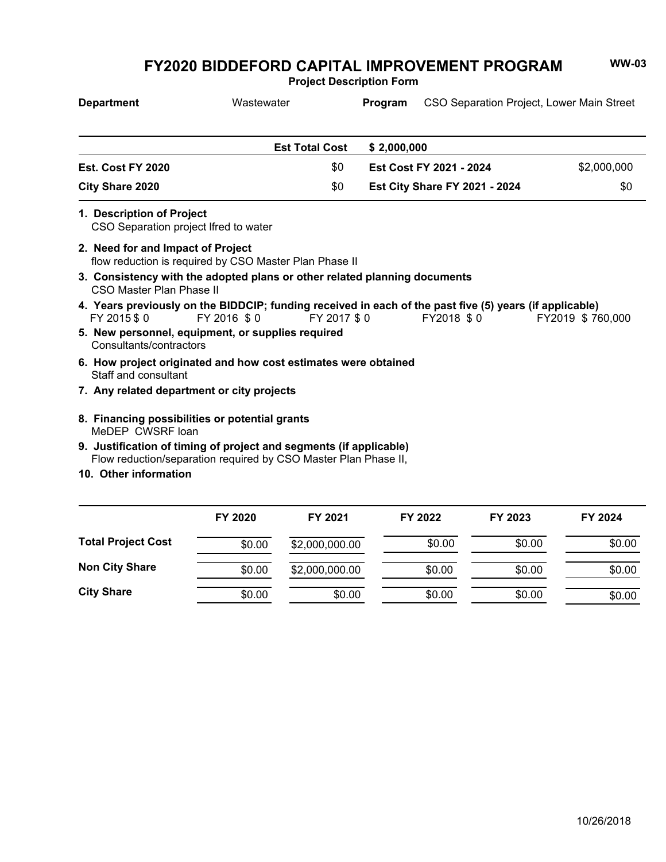**Project Description Form**

| <b>Department</b>                                                  | Wastewater                                                                                                                            |                       | Program     |                                      | CSO Separation Project, Lower Main Street |
|--------------------------------------------------------------------|---------------------------------------------------------------------------------------------------------------------------------------|-----------------------|-------------|--------------------------------------|-------------------------------------------|
|                                                                    |                                                                                                                                       | <b>Est Total Cost</b> | \$2,000,000 |                                      |                                           |
| Est. Cost FY 2020                                                  |                                                                                                                                       | \$0                   |             | Est Cost FY 2021 - 2024              | \$2,000,000                               |
| <b>City Share 2020</b>                                             |                                                                                                                                       | \$0                   |             | <b>Est City Share FY 2021 - 2024</b> | \$0                                       |
| 1. Description of Project<br>CSO Separation project Ifred to water |                                                                                                                                       |                       |             |                                      |                                           |
| 2. Need for and Impact of Project                                  | flow reduction is required by CSO Master Plan Phase II                                                                                |                       |             |                                      |                                           |
| CSO Master Plan Phase II                                           | 3. Consistency with the adopted plans or other related planning documents                                                             |                       |             |                                      |                                           |
| FY 2015 \$0                                                        | 4. Years previously on the BIDDCIP; funding received in each of the past five (5) years (if applicable)<br>FY 2016 \$0                | FY 2017 \$0           |             | FY2018 \$0                           | FY2019 \$760,000                          |
| Consultants/contractors                                            | 5. New personnel, equipment, or supplies required                                                                                     |                       |             |                                      |                                           |
| Staff and consultant                                               | 6. How project originated and how cost estimates were obtained                                                                        |                       |             |                                      |                                           |
| 7. Any related department or city projects                         |                                                                                                                                       |                       |             |                                      |                                           |
| MeDEP CWSRF loan                                                   | 8. Financing possibilities or potential grants                                                                                        |                       |             |                                      |                                           |
|                                                                    | 9. Justification of timing of project and segments (if applicable)<br>Flow reduction/separation required by CSO Master Plan Phase II, |                       |             |                                      |                                           |
| 10. Other information                                              |                                                                                                                                       |                       |             |                                      |                                           |

|                           | FY 2020 | FY 2021        | FY 2022 | FY 2023 | FY 2024 |
|---------------------------|---------|----------------|---------|---------|---------|
| <b>Total Project Cost</b> | \$0.00  | \$2,000,000.00 | \$0.00  | \$0.00  | \$0.00  |
| <b>Non City Share</b>     | \$0.00  | \$2,000,000.00 | \$0.00  | \$0.00  | \$0.00  |
| <b>City Share</b>         | \$0.00  | \$0.00         | \$0.00  | \$0.00  | \$0.00  |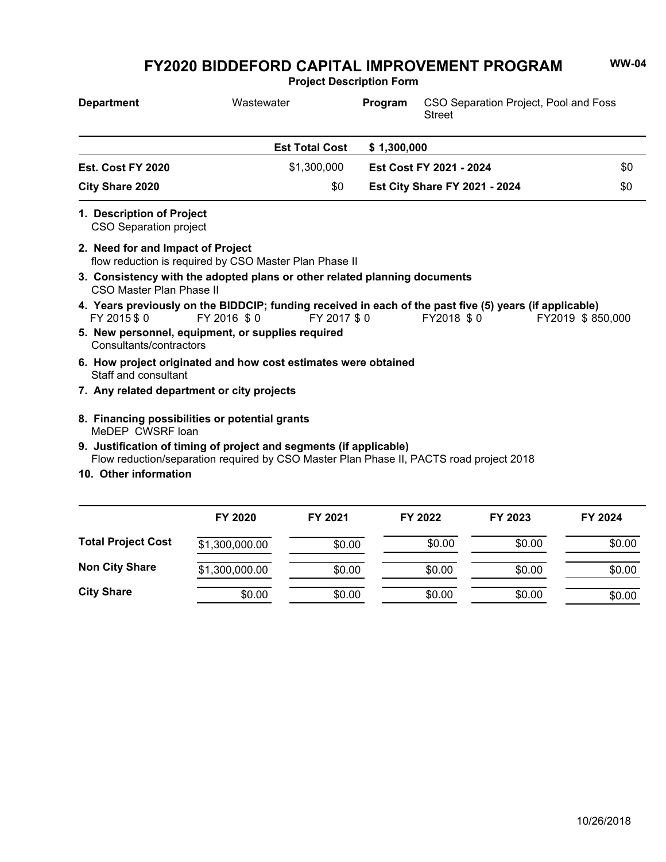**Project Description Form**

| <b>Department</b>                                                  | Wastewater                                                                              | Program     | CSO Separation Project, Pool and Foss<br><b>Street</b>                                                                |                  |
|--------------------------------------------------------------------|-----------------------------------------------------------------------------------------|-------------|-----------------------------------------------------------------------------------------------------------------------|------------------|
|                                                                    | <b>Est Total Cost</b>                                                                   | \$1,300,000 |                                                                                                                       |                  |
| Est. Cost FY 2020                                                  | \$1,300,000                                                                             |             | Est Cost FY 2021 - 2024                                                                                               | \$0              |
| <b>City Share 2020</b>                                             | \$0                                                                                     |             | <b>Est City Share FY 2021 - 2024</b>                                                                                  | \$0              |
| 1. Description of Project<br><b>CSO Separation project</b>         |                                                                                         |             |                                                                                                                       |                  |
| 2. Need for and Impact of Project                                  | flow reduction is required by CSO Master Plan Phase II                                  |             |                                                                                                                       |                  |
| <b>CSO Master Plan Phase II</b>                                    | 3. Consistency with the adopted plans or other related planning documents               |             |                                                                                                                       |                  |
| FY 2015 \$0                                                        | FY 2016 \$0<br>FY 2017 \$0                                                              |             | 4. Years previously on the BIDDCIP; funding received in each of the past five (5) years (if applicable)<br>FY2018 \$0 | FY2019 \$850,000 |
| Consultants/contractors                                            | 5. New personnel, equipment, or supplies required                                       |             |                                                                                                                       |                  |
| Staff and consultant                                               | 6. How project originated and how cost estimates were obtained                          |             |                                                                                                                       |                  |
| 7. Any related department or city projects                         |                                                                                         |             |                                                                                                                       |                  |
| 8. Financing possibilities or potential grants<br>MeDEP CWSRF loan |                                                                                         |             |                                                                                                                       |                  |
|                                                                    | 9. Justification of timing of project and segments (if applicable)                      |             |                                                                                                                       |                  |
| 10. Other information                                              | Flow reduction/separation required by CSO Master Plan Phase II, PACTS road project 2018 |             |                                                                                                                       |                  |
|                                                                    |                                                                                         |             |                                                                                                                       |                  |

|                           | FY 2020        | FY 2021 | FY 2022 | FY 2023 | FY 2024 |
|---------------------------|----------------|---------|---------|---------|---------|
| <b>Total Project Cost</b> | \$1,300,000.00 | \$0.00  | \$0.00  | \$0.00  | \$0.00  |
| <b>Non City Share</b>     | \$1,300,000.00 | \$0.00  | \$0.00  | \$0.00  | \$0.00  |
| <b>City Share</b>         | \$0.00         | \$0.00  | \$0.00  | \$0.00  | \$0.00  |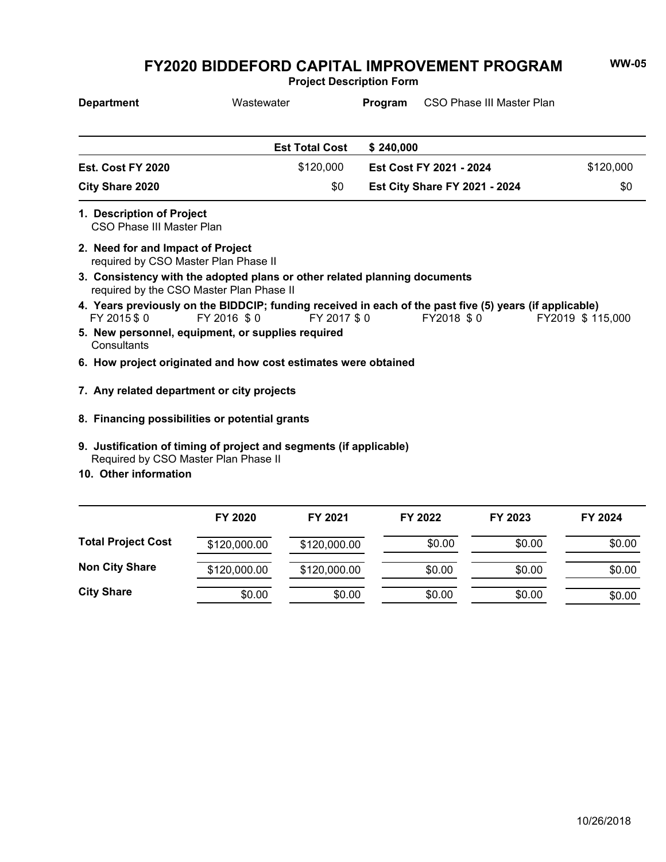**Project Description Form**

| <b>Department</b>                                                                                                                     | Wastewater            | Program   | CSO Phase III Master Plan            |                   |
|---------------------------------------------------------------------------------------------------------------------------------------|-----------------------|-----------|--------------------------------------|-------------------|
|                                                                                                                                       | <b>Est Total Cost</b> | \$240,000 |                                      |                   |
| Est. Cost FY 2020                                                                                                                     | \$120,000             |           | Est Cost FY 2021 - 2024              | \$120,000         |
| <b>City Share 2020</b>                                                                                                                | \$0                   |           | <b>Est City Share FY 2021 - 2024</b> | \$0               |
| 1. Description of Project<br>CSO Phase III Master Plan                                                                                |                       |           |                                      |                   |
| 2. Need for and Impact of Project<br>required by CSO Master Plan Phase II                                                             |                       |           |                                      |                   |
| 3. Consistency with the adopted plans or other related planning documents<br>required by the CSO Master Plan Phase II                 |                       |           |                                      |                   |
| 4. Years previously on the BIDDCIP; funding received in each of the past five (5) years (if applicable)<br>FY 2016 \$0<br>FY 2015 \$0 | FY 2017 \$0           |           | FY2018 \$0                           | FY2019 \$ 115,000 |
| 5. New personnel, equipment, or supplies required<br>Consultants                                                                      |                       |           |                                      |                   |
| 6. How project originated and how cost estimates were obtained                                                                        |                       |           |                                      |                   |
| 7. Any related department or city projects                                                                                            |                       |           |                                      |                   |
| 8. Financing possibilities or potential grants                                                                                        |                       |           |                                      |                   |
| 9. Justification of timing of project and segments (if applicable)<br>Required by CSO Master Plan Phase II                            |                       |           |                                      |                   |
| 10. Other information                                                                                                                 |                       |           |                                      |                   |

|                           | FY 2020      | FY 2021      | FY 2022 | FY 2023 | FY 2024 |
|---------------------------|--------------|--------------|---------|---------|---------|
| <b>Total Project Cost</b> | \$120,000.00 | \$120,000.00 | \$0.00  | \$0.00  | \$0.00  |
| <b>Non City Share</b>     | \$120,000.00 | \$120,000.00 | \$0.00  | \$0.00  | \$0.00  |
| <b>City Share</b>         | \$0.00       | \$0.00       | \$0.00  | \$0.00  | \$0.00  |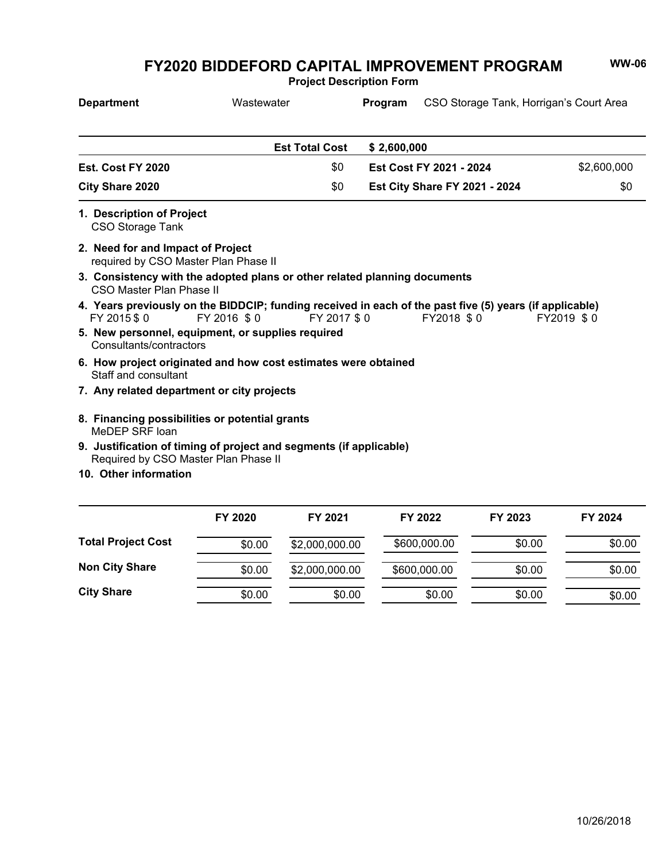**Project Description Form**

| <b>Department</b>                                                                                            | Wastewater            |             | Program     | CSO Storage Tank, Horrigan's Court Area                                                                               |             |
|--------------------------------------------------------------------------------------------------------------|-----------------------|-------------|-------------|-----------------------------------------------------------------------------------------------------------------------|-------------|
|                                                                                                              | <b>Est Total Cost</b> |             | \$2,600,000 |                                                                                                                       |             |
| Est. Cost FY 2020                                                                                            |                       | \$0         |             | Est Cost FY 2021 - 2024                                                                                               | \$2,600,000 |
| <b>City Share 2020</b>                                                                                       |                       | \$0         |             | <b>Est City Share FY 2021 - 2024</b>                                                                                  | \$0         |
| 1. Description of Project<br><b>CSO Storage Tank</b>                                                         |                       |             |             |                                                                                                                       |             |
| 2. Need for and Impact of Project<br>required by CSO Master Plan Phase II                                    |                       |             |             |                                                                                                                       |             |
| 3. Consistency with the adopted plans or other related planning documents<br><b>CSO Master Plan Phase II</b> |                       |             |             |                                                                                                                       |             |
| FY 2015 \$0                                                                                                  | FY 2016 \$0           | FY 2017 \$0 |             | 4. Years previously on the BIDDCIP; funding received in each of the past five (5) years (if applicable)<br>FY2018 \$0 | FY2019 \$0  |
| 5. New personnel, equipment, or supplies required<br>Consultants/contractors                                 |                       |             |             |                                                                                                                       |             |
| 6. How project originated and how cost estimates were obtained<br>Staff and consultant                       |                       |             |             |                                                                                                                       |             |
| 7. Any related department or city projects                                                                   |                       |             |             |                                                                                                                       |             |
| 8. Financing possibilities or potential grants<br>MeDEP SRF loan                                             |                       |             |             |                                                                                                                       |             |
| 9. Justification of timing of project and segments (if applicable)<br>Required by CSO Master Plan Phase II   |                       |             |             |                                                                                                                       |             |
| 10. Other information                                                                                        |                       |             |             |                                                                                                                       |             |
|                                                                                                              |                       |             |             |                                                                                                                       |             |

|                           | FY 2020 | FY 2021        | FY 2022      | FY 2023 | FY 2024 |
|---------------------------|---------|----------------|--------------|---------|---------|
| <b>Total Project Cost</b> | \$0.00  | \$2,000,000.00 | \$600,000.00 | \$0.00  | \$0.00  |
| <b>Non City Share</b>     | \$0.00  | \$2,000,000.00 | \$600,000.00 | \$0.00  | \$0.00  |
| <b>City Share</b>         | \$0.00  | \$0.00         | \$0.00       | \$0.00  | \$0.00  |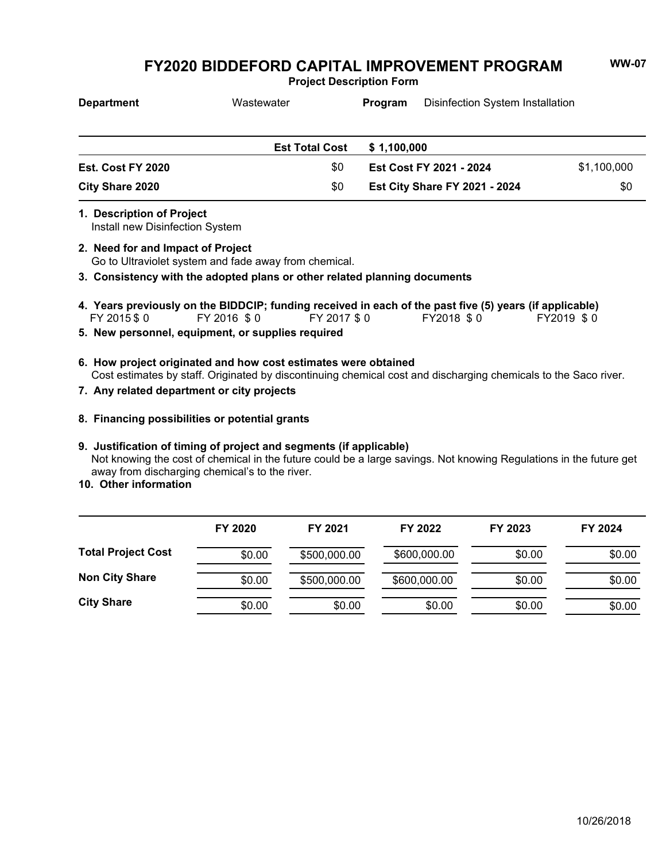**Project Description Form**

| <b>Department</b> | Wastewater            | Disinfection System Installation<br><b>Program</b> |                         |             |
|-------------------|-----------------------|----------------------------------------------------|-------------------------|-------------|
|                   |                       |                                                    |                         |             |
|                   | <b>Est Total Cost</b> | \$1.100.000                                        |                         |             |
| Est. Cost FY 2020 | \$0                   |                                                    | Est Cost FY 2021 - 2024 | \$1,100,000 |
| City Share 2020   | \$0                   | <b>Est City Share FY 2021 - 2024</b>               |                         | \$0         |

**1. Description of Project**

Install new Disinfection System

Go to Ultraviolet system and fade away from chemical. **2. Need for and Impact of Project**

**3. Consistency with the adopted plans or other related planning documents**

- FY 2015 \$ 0 FY 2016 \$ 0 FY 2017 \$ 0 FY2018 \$ 0 FY2019 \$ 0 **4. Years previously on the BIDDCIP; funding received in each of the past five (5) years (if applicable)**
- **5. New personnel, equipment, or supplies required**
- Cost estimates by staff. Originated by discontinuing chemical cost and discharging chemicals to the Saco river. **6. How project originated and how cost estimates were obtained**
- **7. Any related department or city projects**
- **8. Financing possibilities or potential grants**

### **9. Justification of timing of project and segments (if applicable)**

Not knowing the cost of chemical in the future could be a large savings. Not knowing Regulations in the future get away from discharging chemical's to the river.

**10. Other information**

|                           | FY 2020 | FY 2021      | FY 2022      | FY 2023 | FY 2024 |
|---------------------------|---------|--------------|--------------|---------|---------|
| <b>Total Project Cost</b> | \$0.00  | \$500,000.00 | \$600,000.00 | \$0.00  | \$0.00  |
| <b>Non City Share</b>     | \$0.00  | \$500,000.00 | \$600,000.00 | \$0.00  | \$0.00  |
| <b>City Share</b>         | \$0.00  | \$0.00       | \$0.00       | \$0.00  | \$0.00  |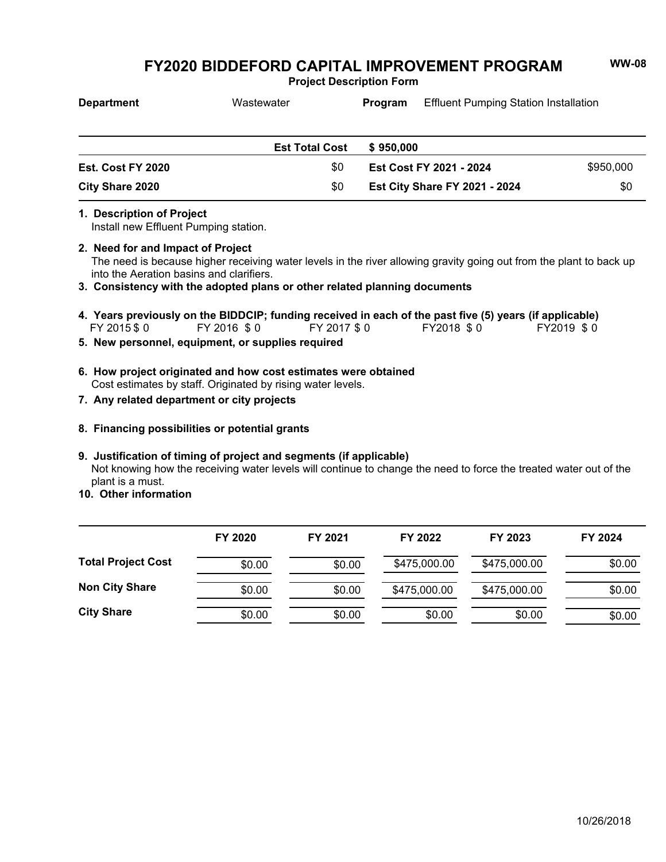**Project Description Form**

| <b>Department</b> | Wastewater                   | Program                              | <b>Effluent Pumping Station Installation</b> |           |
|-------------------|------------------------------|--------------------------------------|----------------------------------------------|-----------|
|                   |                              |                                      |                                              |           |
| Est. Cost FY 2020 | <b>Est Total Cost</b><br>\$0 | \$950,000                            | Est Cost FY 2021 - 2024                      | \$950,000 |
| City Share 2020   | \$0                          | <b>Est City Share FY 2021 - 2024</b> |                                              | \$0       |

### **1. Description of Project**

Install new Effluent Pumping station.

- The need is because higher receiving water levels in the river allowing gravity going out from the plant to back up into the Aeration basins and clarifiers. **2. Need for and Impact of Project**
- **3. Consistency with the adopted plans or other related planning documents**
- FY 2015 \$ 0 FY 2016 \$ 0 FY 2017 \$ 0 FY2018 \$ 0 FY2019 \$ 0 **4. Years previously on the BIDDCIP; funding received in each of the past five (5) years (if applicable)**
- **5. New personnel, equipment, or supplies required**
- Cost estimates by staff. Originated by rising water levels. **6. How project originated and how cost estimates were obtained**
- **7. Any related department or city projects**
- **8. Financing possibilities or potential grants**

### **9. Justification of timing of project and segments (if applicable)**

Not knowing how the receiving water levels will continue to change the need to force the treated water out of the plant is a must.

**10. Other information**

|                           | FY 2020 | FY 2021 | FY 2022      | FY 2023      | FY 2024 |
|---------------------------|---------|---------|--------------|--------------|---------|
| <b>Total Project Cost</b> | \$0.00  | \$0.00  | \$475,000.00 | \$475,000.00 | \$0.00  |
| <b>Non City Share</b>     | \$0.00  | \$0.00  | \$475,000.00 | \$475,000.00 | \$0.00  |
| <b>City Share</b>         | \$0.00  | \$0.00  | \$0.00       | \$0.00       | \$0.00  |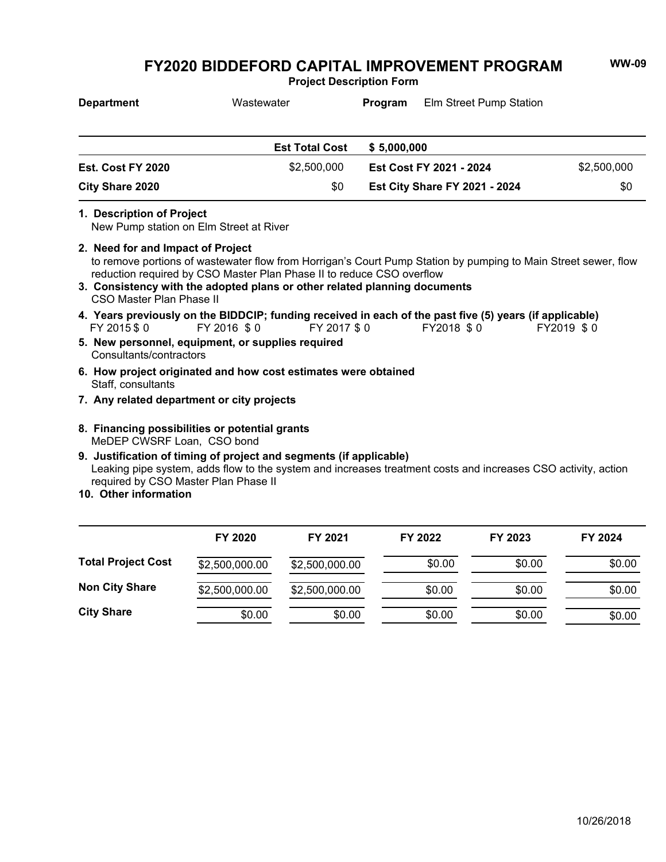**Project Description Form**

| <b>Department</b>                                             | Wastewater                                                                                                                                                                                                                                                           | Program     | <b>Elm Street Pump Station</b>       |             |
|---------------------------------------------------------------|----------------------------------------------------------------------------------------------------------------------------------------------------------------------------------------------------------------------------------------------------------------------|-------------|--------------------------------------|-------------|
|                                                               | <b>Est Total Cost</b>                                                                                                                                                                                                                                                | \$5,000,000 |                                      |             |
| Est. Cost FY 2020                                             | \$2,500,000                                                                                                                                                                                                                                                          |             | Est Cost FY 2021 - 2024              | \$2,500,000 |
| City Share 2020                                               | \$0                                                                                                                                                                                                                                                                  |             | <b>Est City Share FY 2021 - 2024</b> | \$0         |
| 1. Description of Project                                     | New Pump station on Elm Street at River                                                                                                                                                                                                                              |             |                                      |             |
| 2. Need for and Impact of Project<br>CSO Master Plan Phase II | to remove portions of wastewater flow from Horrigan's Court Pump Station by pumping to Main Street sewer, flow<br>reduction required by CSO Master Plan Phase II to reduce CSO overflow<br>3. Consistency with the adopted plans or other related planning documents |             |                                      |             |
| FY 2015 \$0                                                   | 4. Years previously on the BIDDCIP; funding received in each of the past five (5) years (if applicable)<br>FY 2016 \$0<br>FY 2017 \$0                                                                                                                                |             | FY2018 \$0                           | FY2019 \$0  |
| Consultants/contractors                                       | 5. New personnel, equipment, or supplies required                                                                                                                                                                                                                    |             |                                      |             |
| Staff, consultants                                            | 6. How project originated and how cost estimates were obtained                                                                                                                                                                                                       |             |                                      |             |
|                                                               | 7. Any related department or city projects                                                                                                                                                                                                                           |             |                                      |             |
| MeDEP CWSRF Loan, CSO bond                                    | 8. Financing possibilities or potential grants                                                                                                                                                                                                                       |             |                                      |             |
| 10. Other information                                         | 9. Justification of timing of project and segments (if applicable)<br>Leaking pipe system, adds flow to the system and increases treatment costs and increases CSO activity, action<br>required by CSO Master Plan Phase II                                          |             |                                      |             |

|                           | FY 2020        | FY 2021        | FY 2022 | FY 2023 | FY 2024 |
|---------------------------|----------------|----------------|---------|---------|---------|
| <b>Total Project Cost</b> | \$2,500,000.00 | \$2,500,000.00 | \$0.00  | \$0.00  | \$0.00  |
| <b>Non City Share</b>     | \$2,500,000.00 | \$2,500,000.00 | \$0.00  | \$0.00  | \$0.00  |
| <b>City Share</b>         | \$0.00         | \$0.00         | \$0.00  | \$0.00  | \$0.00  |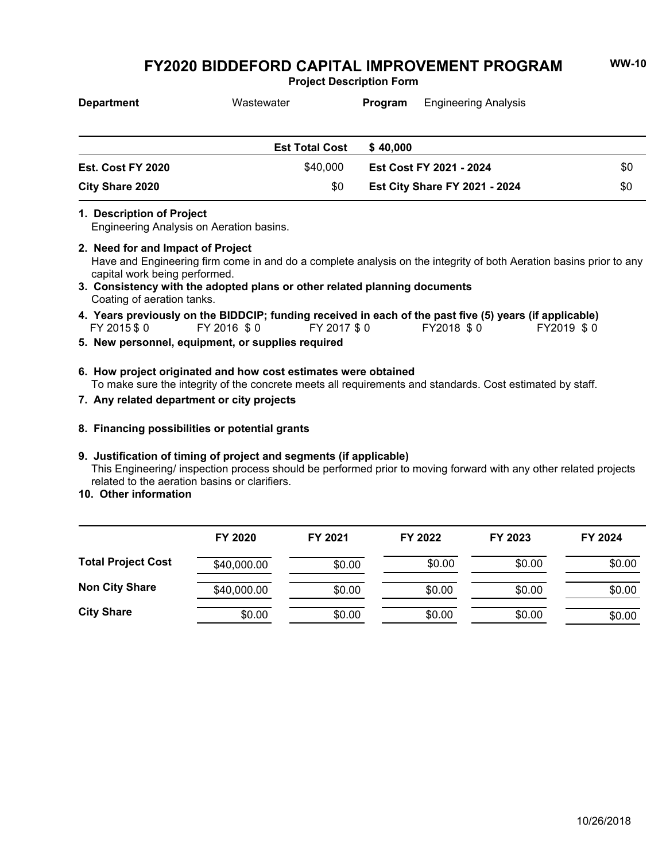**Project Description Form**

| <b>Department</b> | Wastewater            | Program                 | <b>Engineering Analysis</b>          |     |
|-------------------|-----------------------|-------------------------|--------------------------------------|-----|
|                   | <b>Est Total Cost</b> | \$40,000                |                                      |     |
| Est. Cost FY 2020 | \$40,000              | Est Cost FY 2021 - 2024 |                                      | \$0 |
| City Share 2020   | \$0                   |                         | <b>Est City Share FY 2021 - 2024</b> | \$0 |

#### **1. Description of Project**

Engineering Analysis on Aeration basins.

### **2. Need for and Impact of Project**

Have and Engineering firm come in and do a complete analysis on the integrity of both Aeration basins prior to any capital work being performed.

- Coating of aeration tanks. **3. Consistency with the adopted plans or other related planning documents**
- FY 2015 \$ 0 FY 2016 \$ 0 FY 2017 \$ 0 FY2018 \$ 0 FY2019 \$ 0 **4. Years previously on the BIDDCIP; funding received in each of the past five (5) years (if applicable)**
- **5. New personnel, equipment, or supplies required**
- To make sure the integrity of the concrete meets all requirements and standards. Cost estimated by staff. **6. How project originated and how cost estimates were obtained**
- **7. Any related department or city projects**
- **8. Financing possibilities or potential grants**

### **9. Justification of timing of project and segments (if applicable)**

This Engineering/ inspection process should be performed prior to moving forward with any other related projects related to the aeration basins or clarifiers.

**10. Other information**

|                           | FY 2020     | FY 2021 | FY 2022 | FY 2023 | FY 2024 |
|---------------------------|-------------|---------|---------|---------|---------|
| <b>Total Project Cost</b> | \$40,000.00 | \$0.00  | \$0.00  | \$0.00  | \$0.00  |
| <b>Non City Share</b>     | \$40,000.00 | \$0.00  | \$0.00  | \$0.00  | \$0.00  |
| <b>City Share</b>         | \$0.00      | \$0.00  | \$0.00  | \$0.00  | \$0.00  |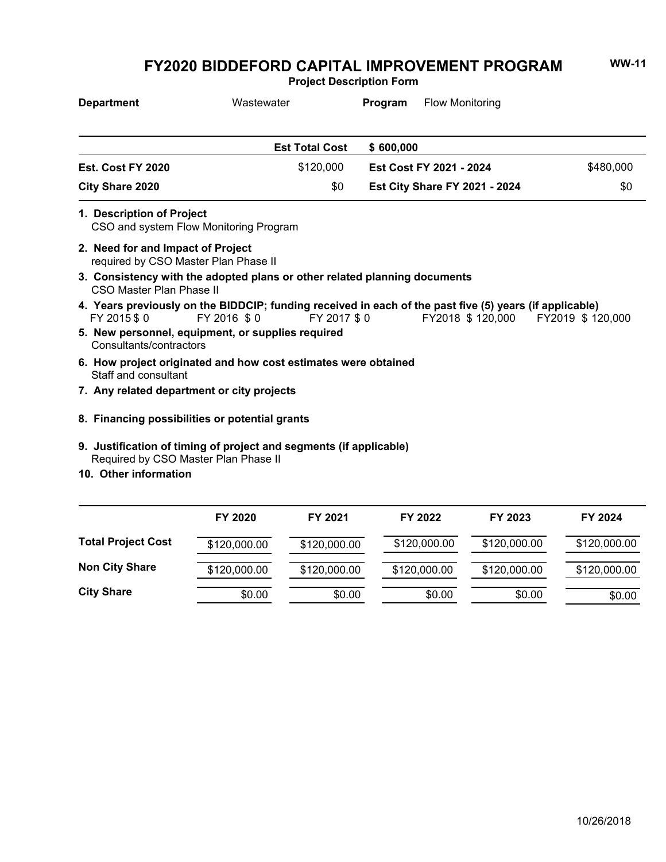**Project Description Form**

| <b>Department</b>                                                         | Wastewater                                                                                                             | Program      | <b>Flow Monitoring</b>               |                  |
|---------------------------------------------------------------------------|------------------------------------------------------------------------------------------------------------------------|--------------|--------------------------------------|------------------|
|                                                                           | <b>Est Total Cost</b>                                                                                                  | \$600,000    |                                      |                  |
| Est. Cost FY 2020                                                         | \$120,000                                                                                                              |              | Est Cost FY 2021 - 2024              | \$480,000        |
| <b>City Share 2020</b>                                                    | \$0                                                                                                                    |              | <b>Est City Share FY 2021 - 2024</b> | \$0              |
| 1. Description of Project                                                 | CSO and system Flow Monitoring Program                                                                                 |              |                                      |                  |
| 2. Need for and Impact of Project<br>required by CSO Master Plan Phase II |                                                                                                                        |              |                                      |                  |
| CSO Master Plan Phase II                                                  | 3. Consistency with the adopted plans or other related planning documents                                              |              |                                      |                  |
| FY 2015 \$0                                                               | 4. Years previously on the BIDDCIP; funding received in each of the past five (5) years (if applicable)<br>FY 2016 \$0 | FY 2017 \$ 0 | FY2018 \$ 120,000                    | FY2019 \$120,000 |
| Consultants/contractors                                                   | 5. New personnel, equipment, or supplies required                                                                      |              |                                      |                  |
| Staff and consultant                                                      | 6. How project originated and how cost estimates were obtained                                                         |              |                                      |                  |
|                                                                           | 7. Any related department or city projects                                                                             |              |                                      |                  |
|                                                                           | 8. Financing possibilities or potential grants                                                                         |              |                                      |                  |
|                                                                           | 9. Justification of timing of project and segments (if applicable)<br>Required by CSO Master Plan Phase II             |              |                                      |                  |

**10. Other information**

|                           | FY 2020      | FY 2021      | FY 2022      | FY 2023      | FY 2024      |
|---------------------------|--------------|--------------|--------------|--------------|--------------|
| <b>Total Project Cost</b> | \$120,000.00 | \$120,000.00 | \$120,000.00 | \$120,000.00 | \$120,000.00 |
| <b>Non City Share</b>     | \$120,000.00 | \$120,000.00 | \$120,000.00 | \$120,000.00 | \$120,000.00 |
| <b>City Share</b>         | \$0.00       | \$0.00       | \$0.00       | \$0.00       | \$0.00       |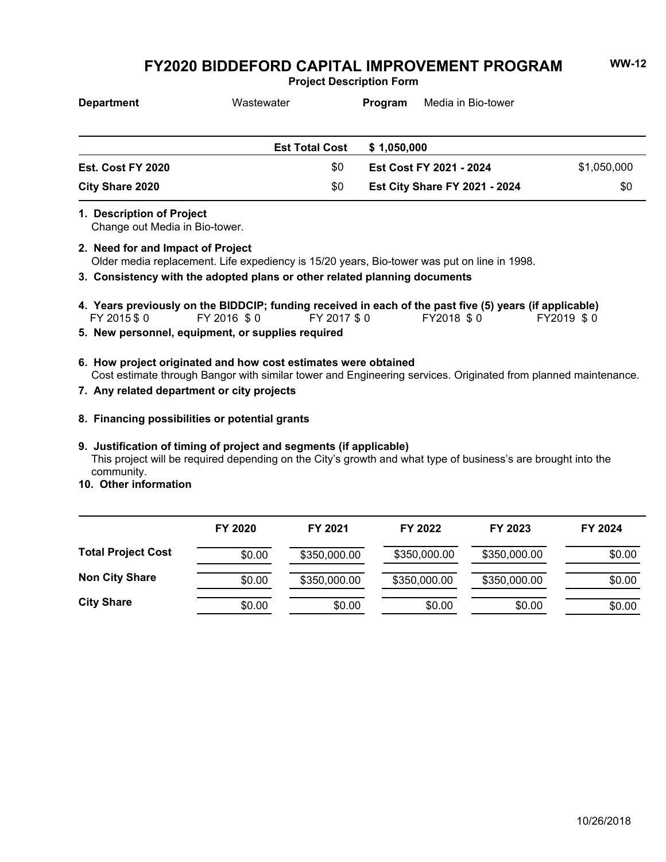**Project Description Form**

| <b>Department</b> | Wastewater            | Media in Bio-tower<br>Program        |             |
|-------------------|-----------------------|--------------------------------------|-------------|
|                   | <b>Est Total Cost</b> | \$1.050.000                          |             |
| Est. Cost FY 2020 | \$0                   | Est Cost FY 2021 - 2024              | \$1,050,000 |
| City Share 2020   | \$0                   | <b>Est City Share FY 2021 - 2024</b> | \$0         |

**1. Description of Project**

Change out Media in Bio-tower.

- Older media replacement. Life expediency is 15/20 years, Bio-tower was put on line in 1998. **2. Need for and Impact of Project**
- **3. Consistency with the adopted plans or other related planning documents**
- FY 2015 \$ 0 FY 2016 \$ 0 FY 2017 \$ 0 FY2018 \$ 0 FY2019 \$ 0 **4. Years previously on the BIDDCIP; funding received in each of the past five (5) years (if applicable)**
- **5. New personnel, equipment, or supplies required**
- Cost estimate through Bangor with similar tower and Engineering services. Originated from planned maintenance. **6. How project originated and how cost estimates were obtained**
- **7. Any related department or city projects**
- **8. Financing possibilities or potential grants**

## **9. Justification of timing of project and segments (if applicable)**

This project will be required depending on the City's growth and what type of business's are brought into the community.

**10. Other information**

|                           | FY 2020 | FY 2021      | FY 2022      | FY 2023      | FY 2024 |
|---------------------------|---------|--------------|--------------|--------------|---------|
| <b>Total Project Cost</b> | \$0.00  | \$350,000.00 | \$350,000.00 | \$350,000.00 | \$0.00  |
| <b>Non City Share</b>     | \$0.00  | \$350,000.00 | \$350,000.00 | \$350,000.00 | \$0.00  |
| <b>City Share</b>         | \$0.00  | \$0.00       | \$0.00       | \$0.00       | \$0.00  |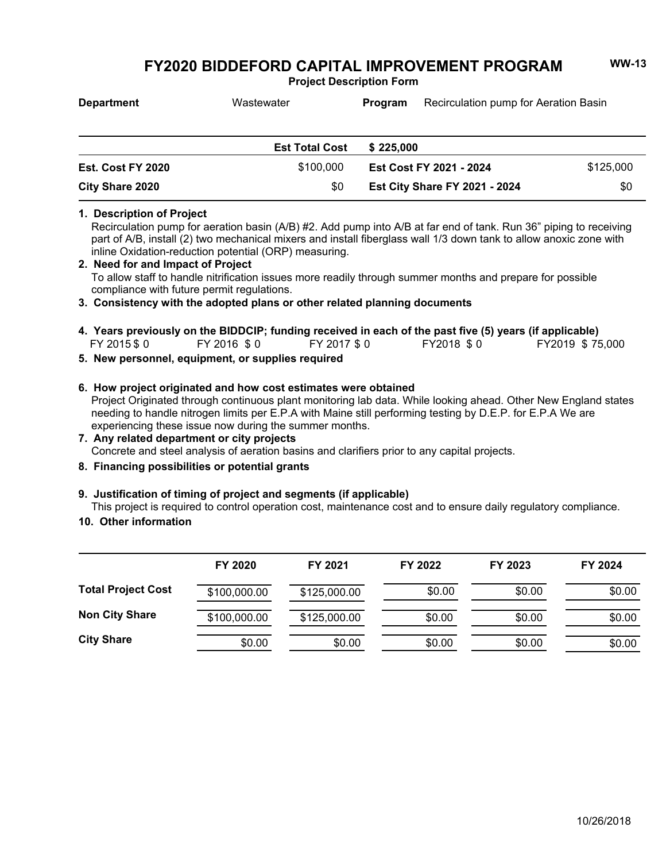**Project Description Form**

| <b>Department</b>        | Wastewater            | Recirculation pump for Aeration Basin<br><b>Program</b> |           |
|--------------------------|-----------------------|---------------------------------------------------------|-----------|
|                          | <b>Est Total Cost</b> | \$225,000                                               |           |
| <b>Est. Cost FY 2020</b> | \$100,000             | Est Cost FY 2021 - 2024                                 | \$125,000 |

# **1. Description of Project**

Recirculation pump for aeration basin (A/B) #2. Add pump into A/B at far end of tank. Run 36" piping to receiving part of A/B, install (2) two mechanical mixers and install fiberglass wall 1/3 down tank to allow anoxic zone with inline Oxidation-reduction potential (ORP) measuring.

**Est City Share FY 2021 - 2024** \$0

To allow staff to handle nitrification issues more readily through summer months and prepare for possible compliance with future permit regulations. **2. Need for and Impact of Project**

**3. Consistency with the adopted plans or other related planning documents**

- \$ 0 \$ 0 \$ 0 \$ 0 \$ 75,000 **4. Years previously on the BIDDCIP; funding received in each of the past five (5) years (if applicable)** FY 2018 \$0
- **5. New personnel, equipment, or supplies required**

**City Share 2020** \$0

### **6. How project originated and how cost estimates were obtained**

Project Originated through continuous plant monitoring lab data. While looking ahead. Other New England states needing to handle nitrogen limits per E.P.A with Maine still performing testing by D.E.P. for E.P.A We are experiencing these issue now during the summer months.

### Concrete and steel analysis of aeration basins and clarifiers prior to any capital projects. **7. Any related department or city projects**

**8. Financing possibilities or potential grants**

### **9. Justification of timing of project and segments (if applicable)**

This project is required to control operation cost, maintenance cost and to ensure daily regulatory compliance.

**10. Other information**

|                           | FY 2020      | FY 2021      | FY 2022 | FY 2023 | FY 2024 |
|---------------------------|--------------|--------------|---------|---------|---------|
| <b>Total Project Cost</b> | \$100,000.00 | \$125,000.00 | \$0.00  | \$0.00  | \$0.00  |
| <b>Non City Share</b>     | \$100,000.00 | \$125,000.00 | \$0.00  | \$0.00  | \$0.00  |
| <b>City Share</b>         | \$0.00       | \$0.00       | \$0.00  | \$0.00  | \$0.00  |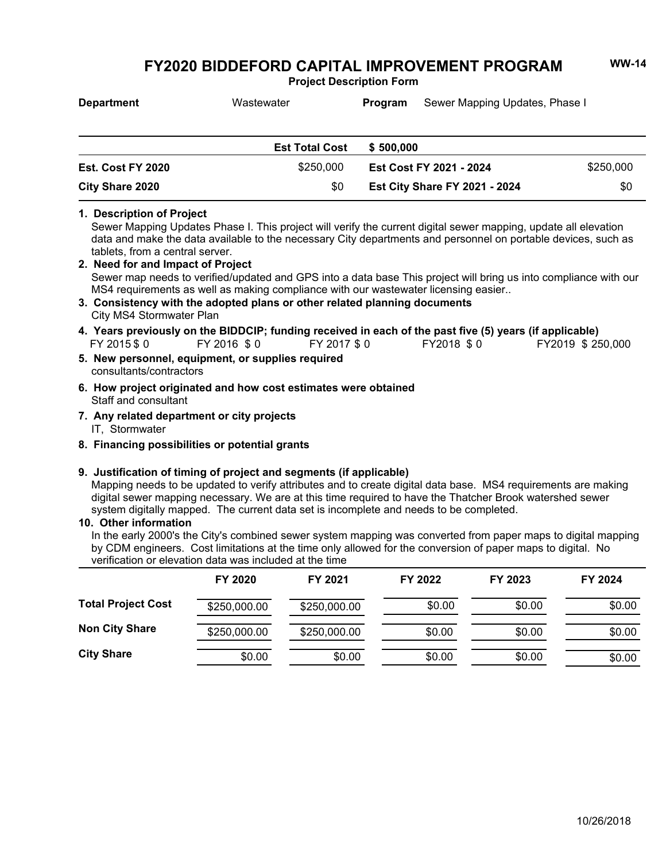**Project Description Form**

| <b>Department</b>        | Wastewater            | Sewer Mapping Updates, Phase I<br>Program |           |
|--------------------------|-----------------------|-------------------------------------------|-----------|
|                          | <b>Est Total Cost</b> | \$500.000                                 |           |
| <b>Est. Cost FY 2020</b> | \$250,000             | Est Cost FY 2021 - 2024                   | \$250,000 |

## **1. Description of Project**

Sewer Mapping Updates Phase I. This project will verify the current digital sewer mapping, update all elevation data and make the data available to the necessary City departments and personnel on portable devices, such as tablets, from a central server.

**Est City Share FY 2021 - 2024** \$0

- Sewer map needs to verified/updated and GPS into a data base This project will bring us into compliance with our MS4 requirements as well as making compliance with our wastewater licensing easier.. **2. Need for and Impact of Project**
- City MS4 Stormwater Plan **3. Consistency with the adopted plans or other related planning documents**
- FY 2015 \$ 0 FY 2016 \$ 0 FY 2017 \$ 0 FY 2018 \$ 0 FY 2019 \$ 250,000 **4. Years previously on the BIDDCIP; funding received in each of the past five (5) years (if applicable)** FY 2016 \$0
- consultants/contractors **5. New personnel, equipment, or supplies required**
- Staff and consultant **6. How project originated and how cost estimates were obtained**
- IT, Stormwater **7. Any related department or city projects**
- **8. Financing possibilities or potential grants**

**City Share 2020** \$0

### **9. Justification of timing of project and segments (if applicable)**

Mapping needs to be updated to verify attributes and to create digital data base. MS4 requirements are making digital sewer mapping necessary. We are at this time required to have the Thatcher Brook watershed sewer system digitally mapped. The current data set is incomplete and needs to be completed.

### **10. Other information**

In the early 2000's the City's combined sewer system mapping was converted from paper maps to digital mapping by CDM engineers. Cost limitations at the time only allowed for the conversion of paper maps to digital. No verification or elevation data was included at the time

|                           | FY 2020      | FY 2021      | FY 2022 | FY 2023 | FY 2024 |
|---------------------------|--------------|--------------|---------|---------|---------|
| <b>Total Project Cost</b> | \$250,000.00 | \$250,000.00 | \$0.00  | \$0.00  | \$0.00  |
| <b>Non City Share</b>     | \$250,000.00 | \$250,000.00 | \$0.00  | \$0.00  | \$0.00  |
| <b>City Share</b>         | \$0.00       | \$0.00       | \$0.00  | \$0.00  | \$0.00  |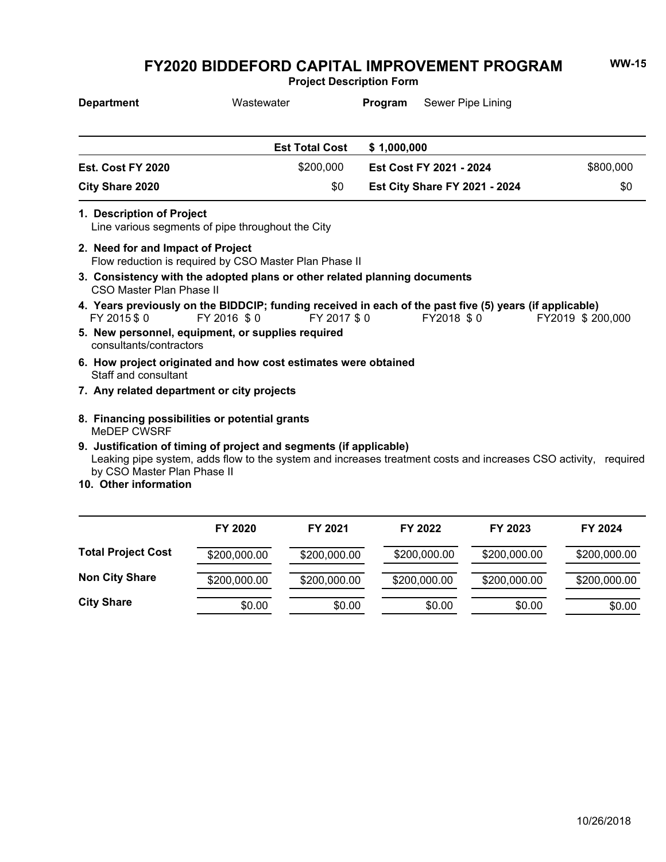**Project Description Form**

| <b>Department</b>                                   | Wastewater                                                                                                                                                                            | Program     | Sewer Pipe Lining                    |                  |
|-----------------------------------------------------|---------------------------------------------------------------------------------------------------------------------------------------------------------------------------------------|-------------|--------------------------------------|------------------|
|                                                     | <b>Est Total Cost</b>                                                                                                                                                                 | \$1,000,000 |                                      |                  |
| Est. Cost FY 2020                                   | \$200,000                                                                                                                                                                             |             | Est Cost FY 2021 - 2024              | \$800,000        |
| <b>City Share 2020</b>                              |                                                                                                                                                                                       | \$0         | <b>Est City Share FY 2021 - 2024</b> | \$0              |
| 1. Description of Project                           | Line various segments of pipe throughout the City                                                                                                                                     |             |                                      |                  |
| 2. Need for and Impact of Project                   | Flow reduction is required by CSO Master Plan Phase II                                                                                                                                |             |                                      |                  |
| CSO Master Plan Phase II                            | 3. Consistency with the adopted plans or other related planning documents                                                                                                             |             |                                      |                  |
| FY 2015 \$0                                         | 4. Years previously on the BIDDCIP; funding received in each of the past five (5) years (if applicable)<br>FY 2016 \$0                                                                | FY 2017 \$0 | FY2018 \$0                           | FY2019 \$200,000 |
| consultants/contractors                             | 5. New personnel, equipment, or supplies required                                                                                                                                     |             |                                      |                  |
| Staff and consultant                                | 6. How project originated and how cost estimates were obtained                                                                                                                        |             |                                      |                  |
| 7. Any related department or city projects          |                                                                                                                                                                                       |             |                                      |                  |
| MeDEP CWSRF                                         | 8. Financing possibilities or potential grants                                                                                                                                        |             |                                      |                  |
| by CSO Master Plan Phase II<br>10 Other information | 9. Justification of timing of project and segments (if applicable)<br>Leaking pipe system, adds flow to the system and increases treatment costs and increases CSO activity, required |             |                                      |                  |

**10. Other information**

|                           | FY 2020      | FY 2021      | FY 2022      | FY 2023      | FY 2024      |
|---------------------------|--------------|--------------|--------------|--------------|--------------|
| <b>Total Project Cost</b> | \$200,000.00 | \$200,000.00 | \$200,000.00 | \$200,000.00 | \$200,000.00 |
| <b>Non City Share</b>     | \$200,000.00 | \$200,000.00 | \$200,000.00 | \$200,000.00 | \$200,000.00 |
| <b>City Share</b>         | \$0.00       | \$0.00       | \$0.00       | \$0.00       | \$0.00       |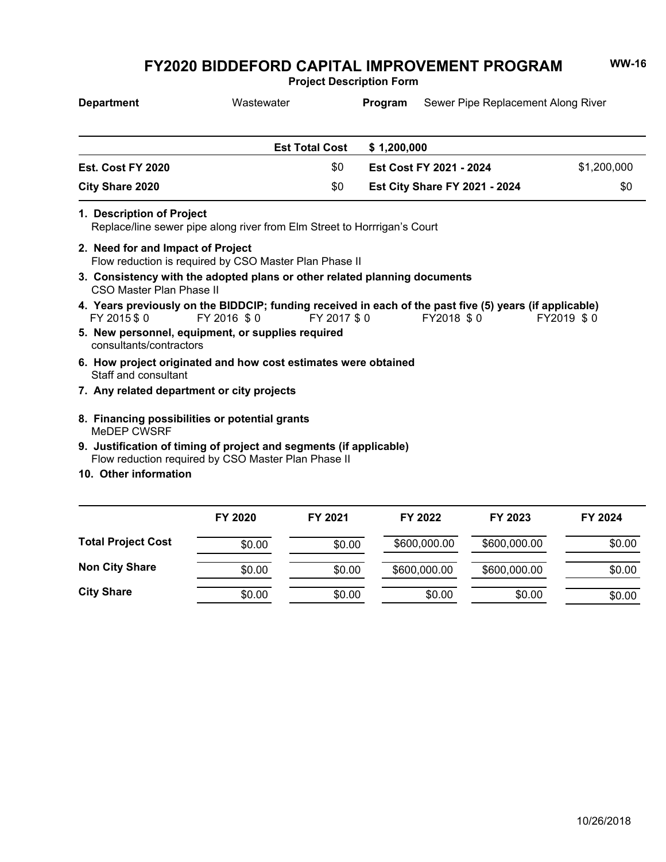**Project Description Form**

| <b>Department</b>                                                                                                         | Wastewater  |                       | Program     | Sewer Pipe Replacement Along River   |             |
|---------------------------------------------------------------------------------------------------------------------------|-------------|-----------------------|-------------|--------------------------------------|-------------|
|                                                                                                                           |             | <b>Est Total Cost</b> | \$1,200,000 |                                      |             |
| Est. Cost FY 2020                                                                                                         |             | \$0                   |             | Est Cost FY 2021 - 2024              | \$1,200,000 |
| <b>City Share 2020</b>                                                                                                    |             | \$0                   |             | <b>Est City Share FY 2021 - 2024</b> | \$0         |
| 1. Description of Project<br>Replace/line sewer pipe along river from Elm Street to Horrrigan's Court                     |             |                       |             |                                      |             |
| 2. Need for and Impact of Project<br>Flow reduction is required by CSO Master Plan Phase II                               |             |                       |             |                                      |             |
| 3. Consistency with the adopted plans or other related planning documents<br>CSO Master Plan Phase II                     |             |                       |             |                                      |             |
| 4. Years previously on the BIDDCIP; funding received in each of the past five (5) years (if applicable)<br>FY 2015 \$0    | FY 2016 \$0 | FY 2017 \$0           |             | FY2018 \$0                           | FY2019 \$0  |
| 5. New personnel, equipment, or supplies required<br>consultants/contractors                                              |             |                       |             |                                      |             |
| 6. How project originated and how cost estimates were obtained<br>Staff and consultant                                    |             |                       |             |                                      |             |
| 7. Any related department or city projects                                                                                |             |                       |             |                                      |             |
| 8. Financing possibilities or potential grants<br>MeDEP CWSRF                                                             |             |                       |             |                                      |             |
| 9. Justification of timing of project and segments (if applicable)<br>Flow reduction required by CSO Master Plan Phase II |             |                       |             |                                      |             |

**10. Other information**

|                           | FY 2020 | FY 2021 | FY 2022      | FY 2023      | FY 2024 |
|---------------------------|---------|---------|--------------|--------------|---------|
|                           |         |         |              |              |         |
| <b>Total Project Cost</b> | \$0.00  | \$0.00  | \$600,000.00 | \$600,000.00 | \$0.00  |
| <b>Non City Share</b>     | \$0.00  | \$0.00  | \$600,000.00 | \$600,000.00 | \$0.00  |
| <b>City Share</b>         | \$0.00  | \$0.00  | \$0.00       | \$0.00       | \$0.00  |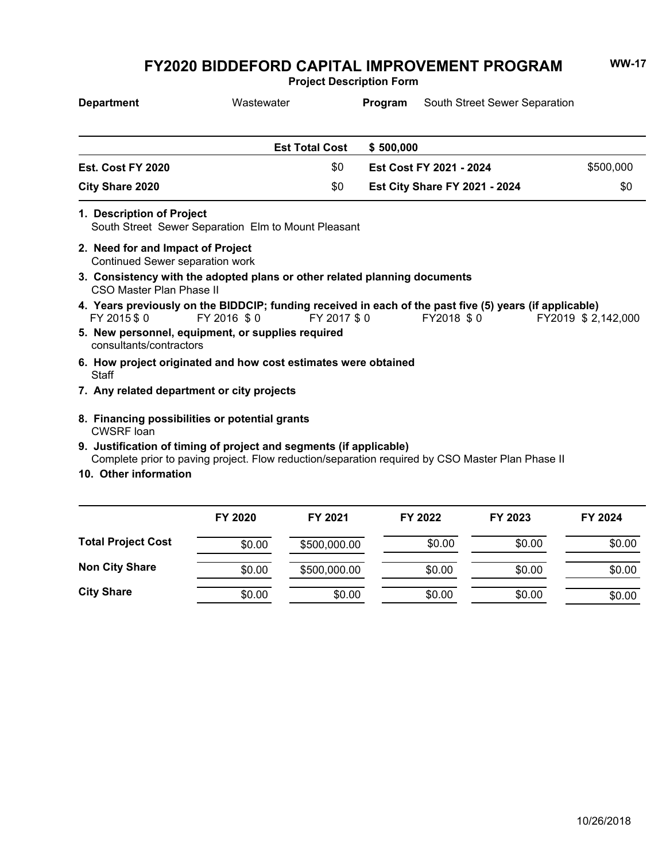**Project Description Form**

| <b>Department</b>                                                    | Wastewater                                                                                                                                                             |             |           | <b>Program</b> South Street Sewer Separation |                     |
|----------------------------------------------------------------------|------------------------------------------------------------------------------------------------------------------------------------------------------------------------|-------------|-----------|----------------------------------------------|---------------------|
|                                                                      | <b>Est Total Cost</b>                                                                                                                                                  |             | \$500,000 |                                              |                     |
| Est. Cost FY 2020                                                    |                                                                                                                                                                        | \$0         |           | Est Cost FY 2021 - 2024                      | \$500,000           |
| <b>City Share 2020</b>                                               |                                                                                                                                                                        | \$0         |           | <b>Est City Share FY 2021 - 2024</b>         | \$0                 |
| 1. Description of Project                                            | South Street Sewer Separation Elm to Mount Pleasant                                                                                                                    |             |           |                                              |                     |
| 2. Need for and Impact of Project<br>Continued Sewer separation work |                                                                                                                                                                        |             |           |                                              |                     |
| CSO Master Plan Phase II                                             | 3. Consistency with the adopted plans or other related planning documents                                                                                              |             |           |                                              |                     |
| FY 2015 \$0                                                          | 4. Years previously on the BIDDCIP; funding received in each of the past five (5) years (if applicable)<br>FY 2016 \$0                                                 | FY 2017 \$0 |           | FY2018 \$0                                   | FY2019 \$ 2,142,000 |
| consultants/contractors                                              | 5. New personnel, equipment, or supplies required                                                                                                                      |             |           |                                              |                     |
| Staff                                                                | 6. How project originated and how cost estimates were obtained                                                                                                         |             |           |                                              |                     |
| 7. Any related department or city projects                           |                                                                                                                                                                        |             |           |                                              |                     |
| 8. Financing possibilities or potential grants<br><b>CWSRF</b> loan  |                                                                                                                                                                        |             |           |                                              |                     |
| 10. Other information                                                | 9. Justification of timing of project and segments (if applicable)<br>Complete prior to paving project. Flow reduction/separation required by CSO Master Plan Phase II |             |           |                                              |                     |

|                           | FY 2020 | FY 2021      | FY 2022 | FY 2023 | FY 2024 |
|---------------------------|---------|--------------|---------|---------|---------|
| <b>Total Project Cost</b> | \$0.00  | \$500,000.00 | \$0.00  | \$0.00  | \$0.00  |
| <b>Non City Share</b>     | \$0.00  | \$500,000.00 | \$0.00  | \$0.00  | \$0.00  |
| <b>City Share</b>         | \$0.00  | \$0.00       | \$0.00  | \$0.00  | \$0.00  |